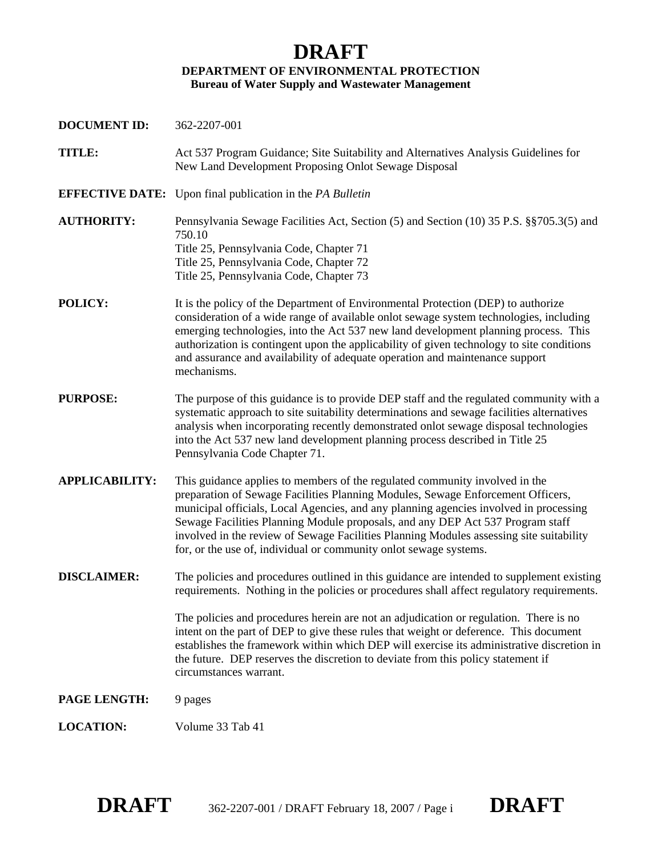## **DRAFT DEPARTMENT OF ENVIRONMENTAL PROTECTION Bureau of Water Supply and Wastewater Management**

**DOCUMENT ID:** 362-2207-001 **TITLE:** Act 537 Program Guidance; Site Suitability and Alternatives Analysis Guidelines for New Land Development Proposing Onlot Sewage Disposal **EFFECTIVE DATE:** Upon final publication in the *PA Bulletin* **AUTHORITY:** Pennsylvania Sewage Facilities Act, Section (5) and Section (10) 35 P.S. §§705.3(5) and 750.10 Title 25, Pennsylvania Code, Chapter 71 Title 25, Pennsylvania Code, Chapter 72 Title 25, Pennsylvania Code, Chapter 73 **POLICY:** It is the policy of the Department of Environmental Protection (DEP) to authorize consideration of a wide range of available onlot sewage system technologies, including emerging technologies, into the Act 537 new land development planning process. This authorization is contingent upon the applicability of given technology to site conditions and assurance and availability of adequate operation and maintenance support mechanisms. **PURPOSE:** The purpose of this guidance is to provide DEP staff and the regulated community with a systematic approach to site suitability determinations and sewage facilities alternatives analysis when incorporating recently demonstrated onlot sewage disposal technologies into the Act 537 new land development planning process described in Title 25 Pennsylvania Code Chapter 71. **APPLICABILITY:** This guidance applies to members of the regulated community involved in the preparation of Sewage Facilities Planning Modules, Sewage Enforcement Officers, municipal officials, Local Agencies, and any planning agencies involved in processing Sewage Facilities Planning Module proposals, and any DEP Act 537 Program staff involved in the review of Sewage Facilities Planning Modules assessing site suitability for, or the use of, individual or community onlot sewage systems. **DISCLAIMER:** The policies and procedures outlined in this guidance are intended to supplement existing requirements. Nothing in the policies or procedures shall affect regulatory requirements. The policies and procedures herein are not an adjudication or regulation. There is no intent on the part of DEP to give these rules that weight or deference. This document establishes the framework within which DEP will exercise its administrative discretion in the future. DEP reserves the discretion to deviate from this policy statement if circumstances warrant. PAGE LENGTH: 9 pages **LOCATION:** Volume 33 Tab 41

**DRAFT** 362-2207-001 / DRAFT February 18, 2007 / Page i **DRAFT**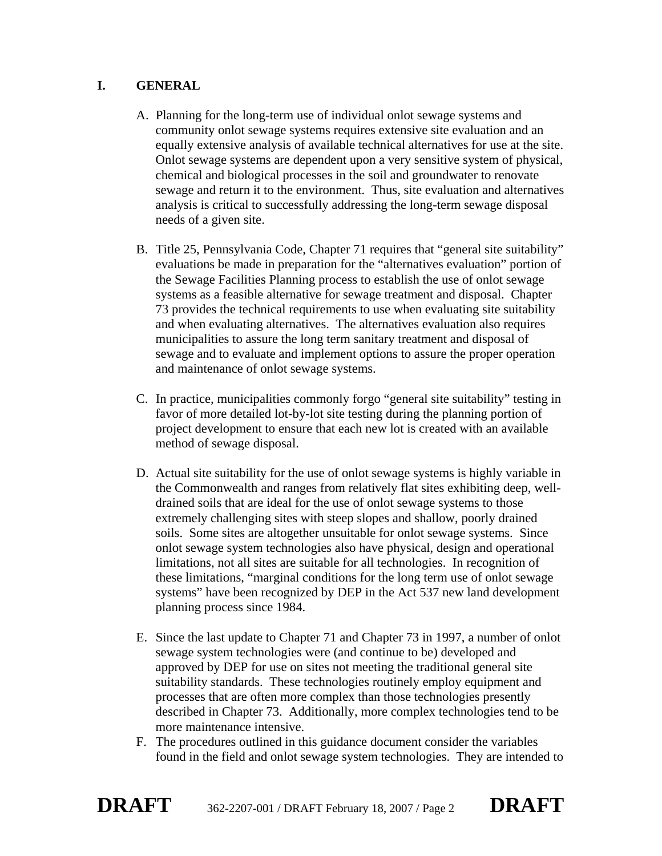#### **I. GENERAL**

- A. Planning for the long-term use of individual onlot sewage systems and community onlot sewage systems requires extensive site evaluation and an equally extensive analysis of available technical alternatives for use at the site. Onlot sewage systems are dependent upon a very sensitive system of physical, chemical and biological processes in the soil and groundwater to renovate sewage and return it to the environment. Thus, site evaluation and alternatives analysis is critical to successfully addressing the long-term sewage disposal needs of a given site.
- B. Title 25, Pennsylvania Code, Chapter 71 requires that "general site suitability" evaluations be made in preparation for the "alternatives evaluation" portion of the Sewage Facilities Planning process to establish the use of onlot sewage systems as a feasible alternative for sewage treatment and disposal. Chapter 73 provides the technical requirements to use when evaluating site suitability and when evaluating alternatives. The alternatives evaluation also requires municipalities to assure the long term sanitary treatment and disposal of sewage and to evaluate and implement options to assure the proper operation and maintenance of onlot sewage systems.
- C. In practice, municipalities commonly forgo "general site suitability" testing in favor of more detailed lot-by-lot site testing during the planning portion of project development to ensure that each new lot is created with an available method of sewage disposal.
- D. Actual site suitability for the use of onlot sewage systems is highly variable in the Commonwealth and ranges from relatively flat sites exhibiting deep, welldrained soils that are ideal for the use of onlot sewage systems to those extremely challenging sites with steep slopes and shallow, poorly drained soils. Some sites are altogether unsuitable for onlot sewage systems. Since onlot sewage system technologies also have physical, design and operational limitations, not all sites are suitable for all technologies. In recognition of these limitations, "marginal conditions for the long term use of onlot sewage systems" have been recognized by DEP in the Act 537 new land development planning process since 1984.
- E. Since the last update to Chapter 71 and Chapter 73 in 1997, a number of onlot sewage system technologies were (and continue to be) developed and approved by DEP for use on sites not meeting the traditional general site suitability standards. These technologies routinely employ equipment and processes that are often more complex than those technologies presently described in Chapter 73. Additionally, more complex technologies tend to be more maintenance intensive.
- F. The procedures outlined in this guidance document consider the variables found in the field and onlot sewage system technologies. They are intended to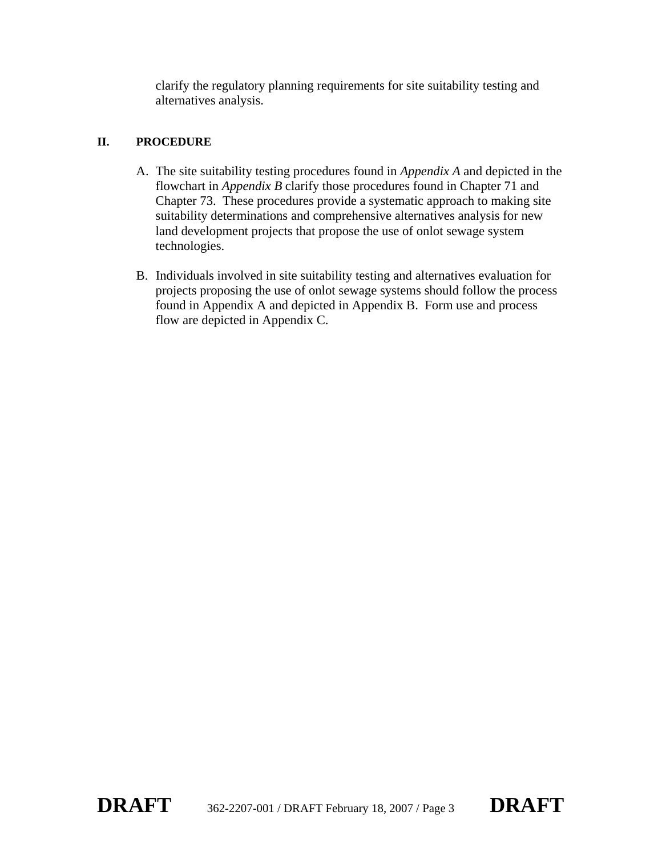clarify the regulatory planning requirements for site suitability testing and alternatives analysis.

#### **II. PROCEDURE**

- A. The site suitability testing procedures found in *Appendix A* and depicted in the flowchart in *Appendix B* clarify those procedures found in Chapter 71 and Chapter 73. These procedures provide a systematic approach to making site suitability determinations and comprehensive alternatives analysis for new land development projects that propose the use of onlot sewage system technologies.
- B. Individuals involved in site suitability testing and alternatives evaluation for projects proposing the use of onlot sewage systems should follow the process found in Appendix A and depicted in Appendix B. Form use and process flow are depicted in Appendix C.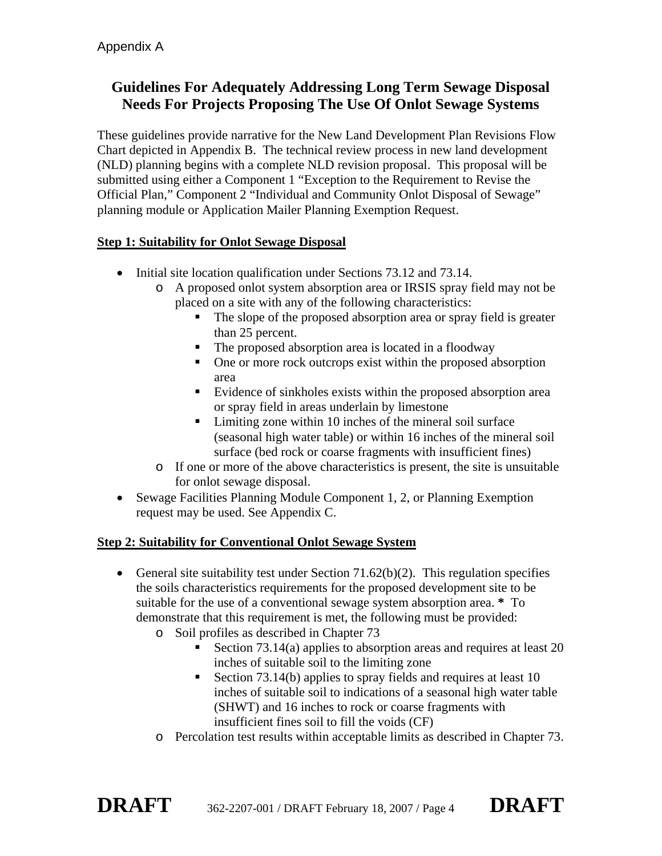# **Guidelines For Adequately Addressing Long Term Sewage Disposal Needs For Projects Proposing The Use Of Onlot Sewage Systems**

These guidelines provide narrative for the New Land Development Plan Revisions Flow Chart depicted in Appendix B. The technical review process in new land development (NLD) planning begins with a complete NLD revision proposal. This proposal will be submitted using either a Component 1 "Exception to the Requirement to Revise the Official Plan," Component 2 "Individual and Community Onlot Disposal of Sewage" planning module or Application Mailer Planning Exemption Request.

#### **Step 1: Suitability for Onlot Sewage Disposal**

- Initial site location qualification under Sections 73.12 and 73.14.
	- o A proposed onlot system absorption area or IRSIS spray field may not be placed on a site with any of the following characteristics:
		- The slope of the proposed absorption area or spray field is greater than 25 percent.
		- The proposed absorption area is located in a floodway
		- One or more rock outcrops exist within the proposed absorption area
		- Evidence of sinkholes exists within the proposed absorption area or spray field in areas underlain by limestone
		- Limiting zone within 10 inches of the mineral soil surface (seasonal high water table) or within 16 inches of the mineral soil surface (bed rock or coarse fragments with insufficient fines)
	- o If one or more of the above characteristics is present, the site is unsuitable for onlot sewage disposal.
- Sewage Facilities Planning Module Component 1, 2, or Planning Exemption request may be used. See Appendix C.

### **Step 2: Suitability for Conventional Onlot Sewage System**

- General site suitability test under Section 71.62(b)(2). This regulation specifies the soils characteristics requirements for the proposed development site to be suitable for the use of a conventional sewage system absorption area. **\*** To demonstrate that this requirement is met, the following must be provided:
	- o Soil profiles as described in Chapter 73
		- Section  $73.14(a)$  applies to absorption areas and requires at least 20 inches of suitable soil to the limiting zone
		- Section 73.14(b) applies to spray fields and requires at least 10 inches of suitable soil to indications of a seasonal high water table (SHWT) and 16 inches to rock or coarse fragments with insufficient fines soil to fill the voids (CF)
	- o Percolation test results within acceptable limits as described in Chapter 73.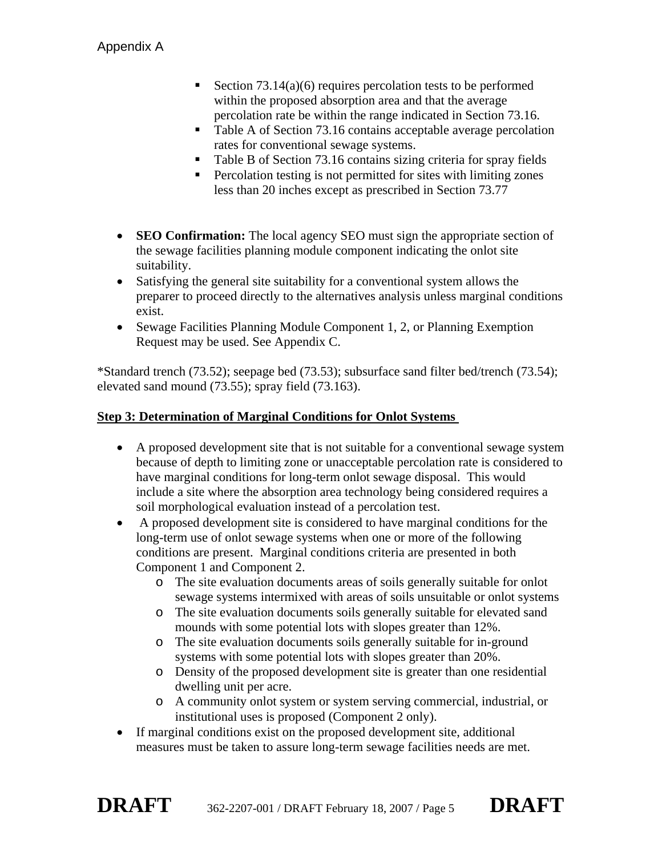- Section  $73.14(a)(6)$  requires percolation tests to be performed within the proposed absorption area and that the average percolation rate be within the range indicated in Section 73.16.
- Table A of Section 73.16 contains acceptable average percolation rates for conventional sewage systems.
- Table B of Section 73.16 contains sizing criteria for spray fields
- **Percolation testing is not permitted for sites with limiting zones** less than 20 inches except as prescribed in Section 73.77
- **SEO Confirmation:** The local agency **SEO** must sign the appropriate section of the sewage facilities planning module component indicating the onlot site suitability.
- Satisfying the general site suitability for a conventional system allows the preparer to proceed directly to the alternatives analysis unless marginal conditions exist.
- Sewage Facilities Planning Module Component 1, 2, or Planning Exemption Request may be used. See Appendix C.

\*Standard trench (73.52); seepage bed (73.53); subsurface sand filter bed/trench (73.54); elevated sand mound (73.55); spray field (73.163).

#### **Step 3: Determination of Marginal Conditions for Onlot Systems**

- A proposed development site that is not suitable for a conventional sewage system because of depth to limiting zone or unacceptable percolation rate is considered to have marginal conditions for long-term onlot sewage disposal. This would include a site where the absorption area technology being considered requires a soil morphological evaluation instead of a percolation test.
- A proposed development site is considered to have marginal conditions for the long-term use of onlot sewage systems when one or more of the following conditions are present. Marginal conditions criteria are presented in both Component 1 and Component 2.
	- o The site evaluation documents areas of soils generally suitable for onlot sewage systems intermixed with areas of soils unsuitable or onlot systems
	- o The site evaluation documents soils generally suitable for elevated sand mounds with some potential lots with slopes greater than 12%.
	- o The site evaluation documents soils generally suitable for in-ground systems with some potential lots with slopes greater than 20%.
	- o Density of the proposed development site is greater than one residential dwelling unit per acre.
	- o A community onlot system or system serving commercial, industrial, or institutional uses is proposed (Component 2 only).
- If marginal conditions exist on the proposed development site, additional measures must be taken to assure long-term sewage facilities needs are met.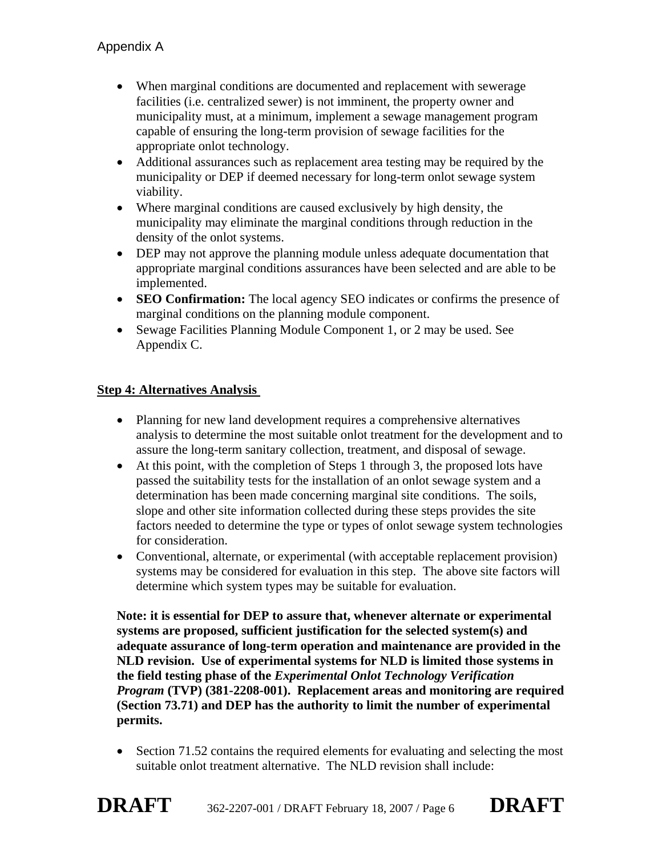- When marginal conditions are documented and replacement with sewerage facilities (i.e. centralized sewer) is not imminent, the property owner and municipality must, at a minimum, implement a sewage management program capable of ensuring the long-term provision of sewage facilities for the appropriate onlot technology.
- Additional assurances such as replacement area testing may be required by the municipality or DEP if deemed necessary for long-term onlot sewage system viability.
- Where marginal conditions are caused exclusively by high density, the municipality may eliminate the marginal conditions through reduction in the density of the onlot systems.
- DEP may not approve the planning module unless adequate documentation that appropriate marginal conditions assurances have been selected and are able to be implemented.
- **SEO Confirmation:** The local agency SEO indicates or confirms the presence of marginal conditions on the planning module component.
- Sewage Facilities Planning Module Component 1, or 2 may be used. See Appendix C.

#### **Step 4: Alternatives Analysis**

- Planning for new land development requires a comprehensive alternatives analysis to determine the most suitable onlot treatment for the development and to assure the long-term sanitary collection, treatment, and disposal of sewage.
- At this point, with the completion of Steps 1 through 3, the proposed lots have passed the suitability tests for the installation of an onlot sewage system and a determination has been made concerning marginal site conditions. The soils, slope and other site information collected during these steps provides the site factors needed to determine the type or types of onlot sewage system technologies for consideration.
- Conventional, alternate, or experimental (with acceptable replacement provision) systems may be considered for evaluation in this step. The above site factors will determine which system types may be suitable for evaluation.

**Note: it is essential for DEP to assure that, whenever alternate or experimental systems are proposed, sufficient justification for the selected system(s) and adequate assurance of long-term operation and maintenance are provided in the NLD revision. Use of experimental systems for NLD is limited those systems in the field testing phase of the** *Experimental Onlot Technology Verification Program* **(TVP) (381-2208-001). Replacement areas and monitoring are required (Section 73.71) and DEP has the authority to limit the number of experimental permits.** 

• Section 71.52 contains the required elements for evaluating and selecting the most suitable onlot treatment alternative. The NLD revision shall include: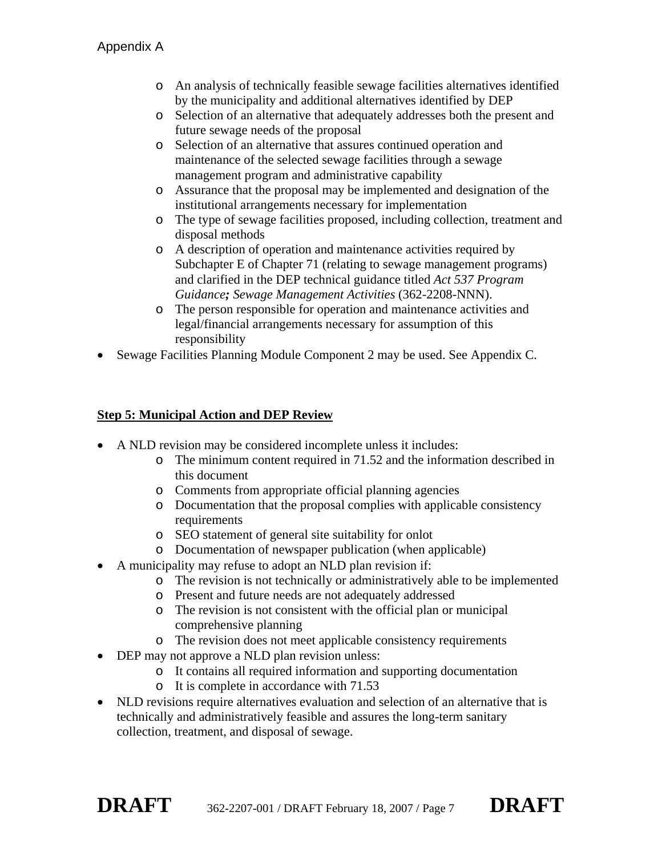- o An analysis of technically feasible sewage facilities alternatives identified by the municipality and additional alternatives identified by DEP
- o Selection of an alternative that adequately addresses both the present and future sewage needs of the proposal
- o Selection of an alternative that assures continued operation and maintenance of the selected sewage facilities through a sewage management program and administrative capability
- o Assurance that the proposal may be implemented and designation of the institutional arrangements necessary for implementation
- o The type of sewage facilities proposed, including collection, treatment and disposal methods
- o A description of operation and maintenance activities required by Subchapter E of Chapter 71 (relating to sewage management programs) and clarified in the DEP technical guidance titled *Act 537 Program Guidance; Sewage Management Activities* (362-2208-NNN).
- o The person responsible for operation and maintenance activities and legal/financial arrangements necessary for assumption of this responsibility
- Sewage Facilities Planning Module Component 2 may be used. See Appendix C.

#### **Step 5: Municipal Action and DEP Review**

- A NLD revision may be considered incomplete unless it includes:
	- o The minimum content required in 71.52 and the information described in this document
	- o Comments from appropriate official planning agencies
	- o Documentation that the proposal complies with applicable consistency requirements
	- o SEO statement of general site suitability for onlot
	- o Documentation of newspaper publication (when applicable)
- A municipality may refuse to adopt an NLD plan revision if:
	- o The revision is not technically or administratively able to be implemented
	- o Present and future needs are not adequately addressed
	- o The revision is not consistent with the official plan or municipal comprehensive planning
	- o The revision does not meet applicable consistency requirements
- DEP may not approve a NLD plan revision unless:
	- o It contains all required information and supporting documentation
	- o It is complete in accordance with 71.53
- NLD revisions require alternatives evaluation and selection of an alternative that is technically and administratively feasible and assures the long-term sanitary collection, treatment, and disposal of sewage.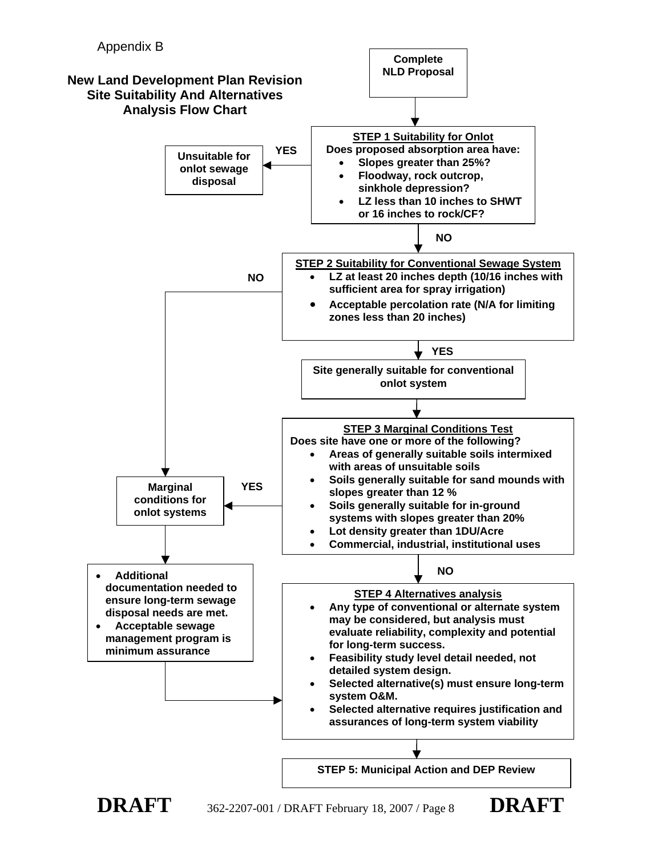

**DRAFT** 362-2207-001 / DRAFT February 18, 2007 / Page 8 **DRAFT**